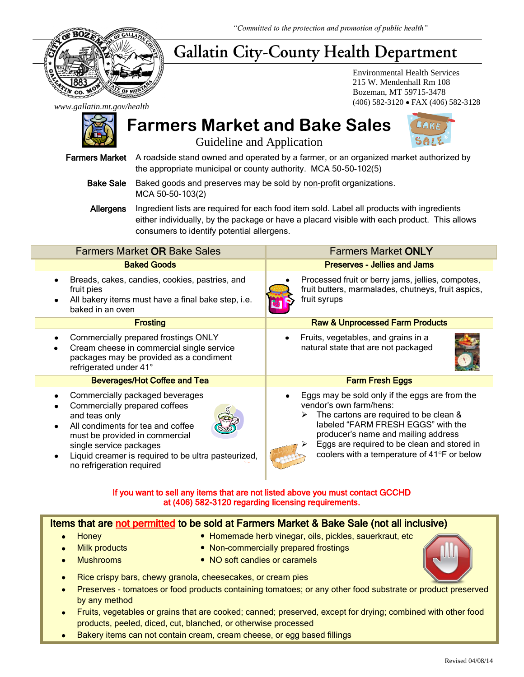

## **Gallatin City-County Health Department**

Environmental Health Services 215 W. Mendenhall Rm 108 Bozeman, MT 59715-3478 (406) 582-3120 FAX (406) 582-3128

*www.gallatin.mt.gov/health*



**Farmers Market and Bake Sales**



Guideline and Application

Farmers Market A roadside stand owned and operated by a farmer, or an organized market authorized by the appropriate municipal or county authority. MCA 50-50-102(5)

Bake Sale Baked goods and preserves may be sold by non-profit organizations. MCA 50-50-103(2)

Allergens Ingredient lists are required for each food item sold. Label all products with ingredients either individually, by the package or have a placard visible with each product. This allows consumers to identify potential allergens.

| <b>Farmers Market OR Bake Sales</b>                                                                                                                                                                                                                                                  | <b>Farmers Market ONLY</b>                                                                                                                                                                                                                                                                     |  |  |
|--------------------------------------------------------------------------------------------------------------------------------------------------------------------------------------------------------------------------------------------------------------------------------------|------------------------------------------------------------------------------------------------------------------------------------------------------------------------------------------------------------------------------------------------------------------------------------------------|--|--|
| <b>Baked Goods</b>                                                                                                                                                                                                                                                                   | <b>Preserves - Jellies and Jams</b>                                                                                                                                                                                                                                                            |  |  |
| Breads, cakes, candies, cookies, pastries, and<br>fruit pies<br>All bakery items must have a final bake step, i.e.<br>$\bullet$<br>baked in an oven                                                                                                                                  | Processed fruit or berry jams, jellies, compotes,<br>fruit butters, marmalades, chutneys, fruit aspics,<br>fruit syrups                                                                                                                                                                        |  |  |
| <b>Frosting</b>                                                                                                                                                                                                                                                                      | <b>Raw &amp; Unprocessed Farm Products</b>                                                                                                                                                                                                                                                     |  |  |
| Commercially prepared frostings ONLY<br>Cream cheese in commercial single service<br>packages may be provided as a condiment<br>refrigerated under 41°                                                                                                                               | Fruits, vegetables, and grains in a<br>natural state that are not packaged                                                                                                                                                                                                                     |  |  |
| <b>Beverages/Hot Coffee and Tea</b>                                                                                                                                                                                                                                                  | <b>Farm Fresh Eggs</b>                                                                                                                                                                                                                                                                         |  |  |
| Commercially packaged beverages<br>Commercially prepared coffees<br>and teas only<br>All condiments for tea and coffee<br>$\bullet$<br>must be provided in commercial<br>single service packages<br>Liquid creamer is required to be ultra pasteurized,<br>no refrigeration required | Eggs may be sold only if the eggs are from the<br>vendor's own farm/hens:<br>The cartons are required to be clean &<br>labeled "FARM FRESH EGGS" with the<br>producer's name and mailing address<br>Eggs are required to be clean and stored in<br>coolers with a temperature of 41°F or below |  |  |

## If you want to sell any items that are not listed above you must contact GCCHD at (406) 582-3120 regarding licensing requirements.

## Items that are not permitted to be sold at Farmers Market & Bake Sale (not all inclusive)

- - Honey **Homemade herb vinegar, oils, pickles, sauerkraut, etc**
- Milk products **Commercially prepared frostings** 
	-
- 
- Mushrooms **COLLECTIVE CONSTRUCTER NO** soft candies or caramels

- Rice crispy bars, chewy granola, cheesecakes, or cream pies
- Preserves tomatoes or food products containing tomatoes; or any other food substrate or product preserved by any method
- Fruits, vegetables or grains that are cooked; canned; preserved, except for drying; combined with other food products, peeled, diced, cut, blanched, or otherwise processed
- Bakery items can not contain cream, cream cheese, or egg based fillings